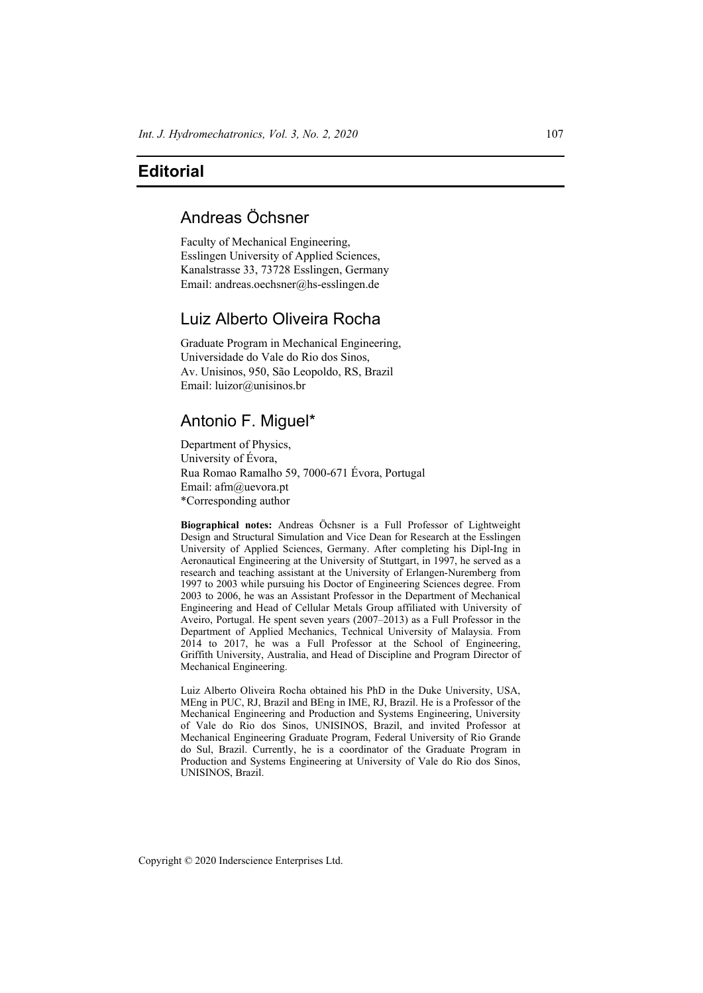## **Editorial**

## Andreas Öchsner

Faculty of Mechanical Engineering, Esslingen University of Applied Sciences, Kanalstrasse 33, 73728 Esslingen, Germany Email: andreas.oechsner@hs-esslingen.de

## Luiz Alberto Oliveira Rocha

Graduate Program in Mechanical Engineering, Universidade do Vale do Rio dos Sinos, Av. Unisinos, 950, São Leopoldo, RS, Brazil Email: luizor@unisinos.br

## Antonio F. Miguel\*

Department of Physics, University of Évora, Rua Romao Ramalho 59, 7000-671 Évora, Portugal Email: afm@uevora.pt \*Corresponding author

**Biographical notes:** Andreas Öchsner is a Full Professor of Lightweight Design and Structural Simulation and Vice Dean for Research at the Esslingen University of Applied Sciences, Germany. After completing his Dipl-Ing in Aeronautical Engineering at the University of Stuttgart, in 1997, he served as a research and teaching assistant at the University of Erlangen-Nuremberg from 1997 to 2003 while pursuing his Doctor of Engineering Sciences degree. From 2003 to 2006, he was an Assistant Professor in the Department of Mechanical Engineering and Head of Cellular Metals Group affiliated with University of Aveiro, Portugal. He spent seven years (2007–2013) as a Full Professor in the Department of Applied Mechanics, Technical University of Malaysia. From 2014 to 2017, he was a Full Professor at the School of Engineering, Griffith University, Australia, and Head of Discipline and Program Director of Mechanical Engineering.

Luiz Alberto Oliveira Rocha obtained his PhD in the Duke University, USA, MEng in PUC, RJ, Brazil and BEng in IME, RJ, Brazil. He is a Professor of the Mechanical Engineering and Production and Systems Engineering, University of Vale do Rio dos Sinos, UNISINOS, Brazil, and invited Professor at Mechanical Engineering Graduate Program, Federal University of Rio Grande do Sul, Brazil. Currently, he is a coordinator of the Graduate Program in Production and Systems Engineering at University of Vale do Rio dos Sinos, UNISINOS, Brazil.